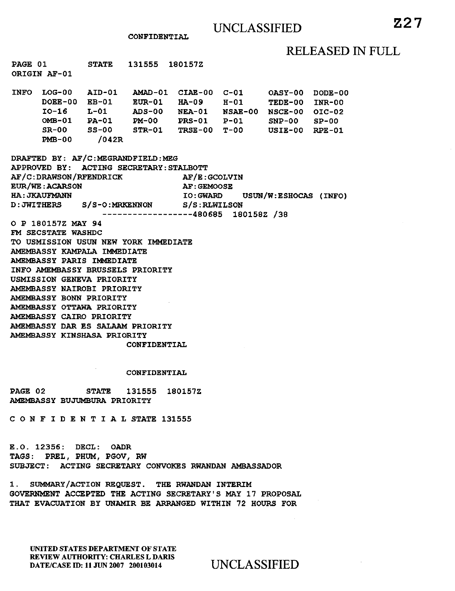### **CONFIDENTIAL**

## RELEASED IN FULL

| PAGE 01                                                  |                | <b>STATE</b> |  | 131555 1801572                                  |  |  |               |
|----------------------------------------------------------|----------------|--------------|--|-------------------------------------------------|--|--|---------------|
| ORIGIN AF-01                                             |                |              |  |                                                 |  |  |               |
|                                                          |                |              |  |                                                 |  |  |               |
|                                                          |                |              |  | INFO LOG-00 AID-01 AMAD-01 CIAE-00 C-01 OASY-00 |  |  | DODE-00       |
|                                                          |                |              |  | DOEE-00 EB-01 EUR-01 HA-09 H-01 TEDE-00         |  |  | <b>INR-00</b> |
|                                                          |                |              |  | IO-16 L-01 ADS-00 NEA-01 NSAE-00 NSCE-00 OIC-02 |  |  |               |
|                                                          |                |              |  | OMB-01 PA-01 PM-00 PRS-01 P-01 SNP-00 SP-00     |  |  |               |
|                                                          |                |              |  | SR-00 SS-00 STR-01 TRSE-00 T-00 USIE-00 RPE-01  |  |  |               |
|                                                          | $PMB-00$ /042R |              |  |                                                 |  |  |               |
|                                                          |                |              |  |                                                 |  |  |               |
| DRAFTED BY: AF/C:MEGRANDFIELD:MEG                        |                |              |  |                                                 |  |  |               |
| APPROVED BY: ACTING SECRETARY: STALBOTT                  |                |              |  |                                                 |  |  |               |
| AF/C:DRAWSON/RFENDRICK AF/E:GCOLVIN                      |                |              |  |                                                 |  |  |               |
| <b>EUR/WE: ACARSON</b><br><b>AF: GEMOOSE</b>             |                |              |  |                                                 |  |  |               |
| <b>HA: JKAUFMANN</b><br>IO: GWARD USUN/W: ESHOCAS (INFO) |                |              |  |                                                 |  |  |               |
| D: JWITHERS S/S-O: MRKENNON S/S: RLWILSON                |                |              |  |                                                 |  |  |               |
| $----------480685$ 180158Z /38                           |                |              |  |                                                 |  |  |               |
| O P 180157Z MAY 94                                       |                |              |  |                                                 |  |  |               |
| FM SECSTATE WASHDC                                       |                |              |  |                                                 |  |  |               |
| TO USMISSION USUN NEW YORK IMMEDIATE                     |                |              |  |                                                 |  |  |               |
| AMEMBASSY KAMPALA IMMEDIATE                              |                |              |  |                                                 |  |  |               |
| AMEMBASSY PARIS IMMEDIATE                                |                |              |  |                                                 |  |  |               |
| INFO AMEMBASSY BRUSSELS PRIORITY                         |                |              |  |                                                 |  |  |               |
| USMISSION GENEVA PRIORITY                                |                |              |  |                                                 |  |  |               |
| AMEMBASSY NAIROBI PRIORITY                               |                |              |  |                                                 |  |  |               |
| AMEMBASSY BONN PRIORITY                                  |                |              |  |                                                 |  |  |               |
| AMEMBASSY OTTAWA PRIORITY                                |                |              |  |                                                 |  |  |               |
| AMEMBASSY CAIRO PRIORITY                                 |                |              |  |                                                 |  |  |               |
| AMEMBASSY DAR ES SALAAM PRIORITY                         |                |              |  |                                                 |  |  |               |
| AMEMBASSY KINSHASA PRIORITY                              |                |              |  |                                                 |  |  |               |
| CONFIDENTIAL                                             |                |              |  |                                                 |  |  |               |
|                                                          |                |              |  |                                                 |  |  |               |

#### **CONFIDENTIAL**

**PAGE 02 STATE 131555 180157Z AMEMBASSY BUJUMBURA PRIORITY** 

**CONFIDENTIALSTATE 131555** 

**E.O. 12356: DECL: OADR TAGS: PREL, PHUM, PGOV, RW SUBJECT: ACTING SECRETARY CONVOKES RWANDAN AMBASSADOR** 

**1. SUMMARY/ACTION REQUEST. THE RWANDAN INTERIM GOVERNMENT ACCEPTED THE ACTING SECRETARY'S MAY 17 PROPOSAL THAT EVACUATION BY UNAMIR BE ARRANGED WITHIN 72 HOURS FOR** 

UNITED STATES DEPARTMENT OF STATE REVIEW AUTHORITY: CHARLES L DARIS DATE/CASE ID: 11 JUN 2007 200103014 UNCLASSIFIED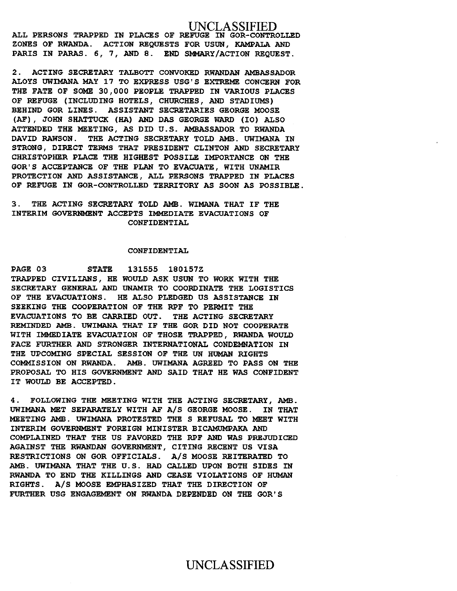## UNCLASSIFIED

**ALL PERSONS TRAPPED IN PLACES OF REFUGE** IN **GOR-CONTROLLED ZONES OF RWANDA. ACTION REQUESTS FOR USUN, KAMPALA AND PARIS IN PARAS. 6, 7, AND 8. END SMMARY/ACTION REQUEST.** 

**2. ACTING SECRETARY TALBOTT CONVOKED RWANDAN AMBASSADOR ALOYS UWIMANA MAY 17 TO EXPRESS USG'S EXTREME CONCERN FOR THE FATE OF SOME 30,000 PEOPLE TRAPPED IN VARIOUS PLACES OF REFUGE (INCLUDING HOTELS, CHURCHES, AND STADIUMS) BEHIND GOR LINES. ASSISTANT SECRETARIES GEORGE MOOSE (AF), JOHN SHATTUCK (HA) AND DAS GEORGE WARD (I0) ALSO ATTENDED THE MEETING, AS DID U.S. AMBASSADOR TO RWANDA DAVID RAWSON. THE ACTING SECRETARY TOLD AMB. UWIMANA IN STRONG, DIRECT TERMS THAT PRESIDENT CLINTON AND SECRETARY CHRISTOPHER PLACE THE HIGHEST POSSILE IMPORTANCE ON THE GOR'S ACCEPTANCE OF THE PLAN TO EVACUATE, WITH UNAMIR PROTECTION AND ASSISTANCE, ALL PERSONS TRAPPED IN PLACES OF REFUGE IN GOR-CONTROLLED TERRITORY AS SOON AS POSSIBLE.** 

### **3. THE ACTING SECRETARY TOLD AMB. WIMANA THAT IF THE INTERIM GOVERNMENT ACCEPTS IMMEDIATE EVACUATIONS OF CONFIDENTIAL**

### **CONFIDENTIAL**

**PAGE 03 STATE 131555 180157Z TRAPPED CIVILIANS, HE WOULD ASK USUN TO WORK WITH THE SECRETARY GENERAL AND UNAMIR TO COORDINATE THE LOGISTICS OF THE EVACUATIONS. HE ALSO PLEDGED US ASSISTANCE IN SEEKING THE COOPERATION OF THE RPF TO PERMIT THE EVACUATIONS TO BE CARRIED OUT. THE ACTING SECRETARY REMINDED AMB. UWIMANA THAT IF THE GOR DID NOT COOPERATE WITH IMMEDIATE EVACUATION OF THOSE TRAPPED, RWANDA WOULD FACE FURTHER AND STRONGER INTERNATIONAL CONDEMNATION IN THE UPCOMING SPECIAL SESSION OF THE UN HUMAN RIGHTS COMMISSION ON RWANDA. AMB. UWIMANA AGREED TO PASS ON THE PROPOSAL TO HIS GOVERNMENT AND SAID THAT HE WAS CONFIDENT IT WOULD BE ACCEPTED.** 

**4. FOLLOWING THE MEETING WITH THE ACTING SECRETARY, AMB. UWIMANA MET SEPARATELY WITH AF A/S GEORGE MOOSE. IN THAT MEETING AMB. UWIMANA PROTESTED THE S REFUSAL TO MEET WITH INTERIM GOVERNMENT FOREIGN MINISTER BICAMUMPAKA AND COMPLAINED THAT THE US FAVORED THE RPF AND WAS PREJUDICED AGAINST THE RWANDAN GOVERNMENT, CITING RECENT US VISA RESTRICTIONS ON GOR OFFICIALS. A/S MOOSE REITERATED TO AMB. UWIMANA THAT THE U.S. HAD CALLED UPON BOTH SIDES IN RWANDA TO END THE KILLINGS AND CEASE VIOLATIONS OF HUMAN RIGHTS. A/S MOOSE EMPHASIZED THAT THE DIRECTION OF FURTHER USG ENGAGEMENT ON RWANDA DEPENDED ON THE GOR'S** 

## UNCLASSIFIED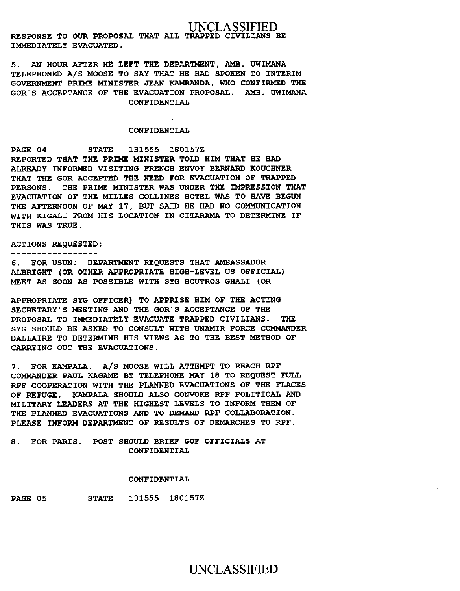### UNCLASSIFIED

RESPONSE TO OUR PROPOSAL THAT ALL TRAPPED CIVILIANS BE IMMEDIATELY EVACUATED.

5. AN HOUR AFTER HE LEFT THE DEPARTMENT, AMB. UWIMANA TELEPHONED A/S MOOSE TO SAY THAT HE HAD SPOKEN TO INTERIM GOVERNMENT PRIME MINISTER JEAN KAMBANDA, WHO CONFIRMED THE GOR'S ACCEPTANCE OF THE EVACUATION PROPOSAL. AMB. UWIMANA CONFIDENTIAL

### CONFIDENTIAL

PAGE 04 STATE 131555 180157Z REPORTED THAT THE PRIME MINISTER TOLD HIM THAT HE HAD ALREADY INFORMED VISITING FRENCH ENVOY BERNARD KOUCHNER THAT THE GOR ACCEPTED THE NEED FOR EVACUATION OF TRAPPED PERSONS. THE PRIME MINISTER WAS UNDER THE IMPRESSION THAT EVACUATION OF THE MILLES COLLINES HOTEL WAS TO HAVE BEGUN THE AFTERNOON OF MAY 17, BUT SAID HE HAD NO COMMUNICATION WITH KIGALI FROM HIS LOCATION IN GITARAMA TO DETERMINE IF THIS WAS TRUE.

ACTIONS REQUESTED:

-----------------

6. FOR USUN: DEPARTMENT REQUESTS THAT AMBASSADOR ALBRIGHT (OR OTHER APPROPRIATE HIGH-LEVEL US OFFICIAL) MEET AS SOON **AS** POSSIBLE WITH SYG BOUTROS GHALI (OR

APPROPRIATE SYG OFFICER) TO APPRISE HIM OF THE ACTING SECRETARY'S MEETING AND THE GOR'S ACCEPTANCE OF THE PROPOSAL TO IMMEDIATELY EVACUATE TRAPPED CIVILIANS. THE SYG SHOULD BE ASKED TO CONSULT WITH UNAMIR FORCE COMMANDER DALLAIRE TO DETERMINE HIS VIEWS AS TO THE BEST METHOD OF CARRYING OUT THE EVACUATIONS.

7. FOR KAMPALA. A/S MOOSE WILL ATTEMPT TO REACH RPF COMMANDER PAUL KAGAME BY TELEPHONE MAY 18 TO REQUEST FULL RPF COOPERATION WITH THE PLANNED EVACUATIONS OF THE FLACES OF REFUGE. KAMPALA SHOULD ALSO CONVOKE RPF POLITICAL AND MILITARY LEADERS AT THE HIGHEST LEVELS TO INFORM THEM OF THE PLANNED EVACUATIONS AND TO DEMAND RPF COLLABORATION. PLEASE INFORM DEPARTMENT OF RESULTS OF DEMARCHES TO RPF.

8. FOR PARIS. POST SHOULD BRIEF GOF OFFICIALS AT CONFIDENTIAL

#### CONFIDENTIAL

PAGE 05 STATE 131555 180157Z

UNCLASSIFIED